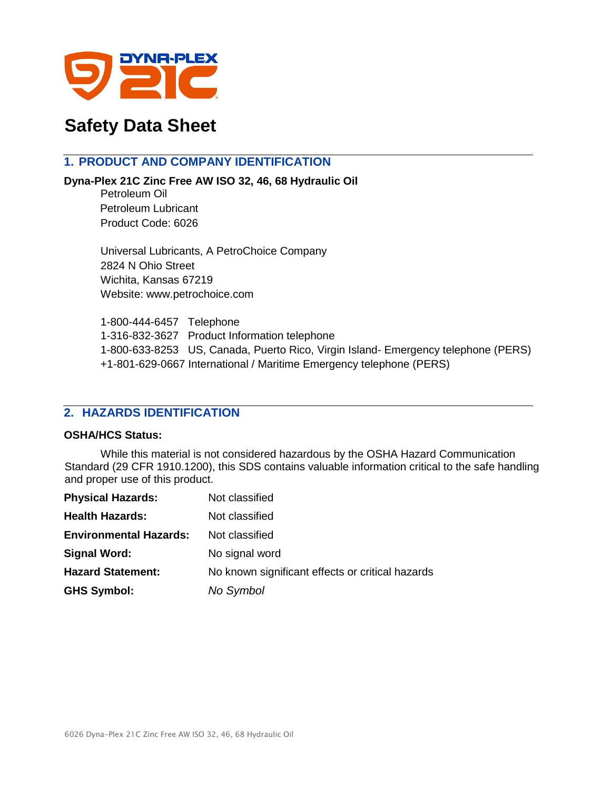

# **Safety Data Sheet**

# **1. PRODUCT AND COMPANY IDENTIFICATION**

**Dyna-Plex 21C Zinc Free AW ISO 32, 46, 68 Hydraulic Oil**

Petroleum Oil Petroleum Lubricant Product Code: 6026

Universal Lubricants, A PetroChoice Company 2824 N Ohio Street Wichita, Kansas 67219 Website: www.petrochoice.com

1-800-444-6457 Telephone 1-316-832-3627 Product Information telephone 1-800-633-8253 US, Canada, Puerto Rico, Virgin Island- Emergency telephone (PERS) +1-801-629-0667 International / Maritime Emergency telephone (PERS)

# **2. HAZARDS IDENTIFICATION**

#### **OSHA/HCS Status:**

While this material is not considered hazardous by the OSHA Hazard Communication Standard (29 CFR 1910.1200), this SDS contains valuable information critical to the safe handling and proper use of this product.

| <b>Physical Hazards:</b>      | Not classified                                   |
|-------------------------------|--------------------------------------------------|
| <b>Health Hazards:</b>        | Not classified                                   |
| <b>Environmental Hazards:</b> | Not classified                                   |
| <b>Signal Word:</b>           | No signal word                                   |
| <b>Hazard Statement:</b>      | No known significant effects or critical hazards |
| <b>GHS Symbol:</b>            | No Symbol                                        |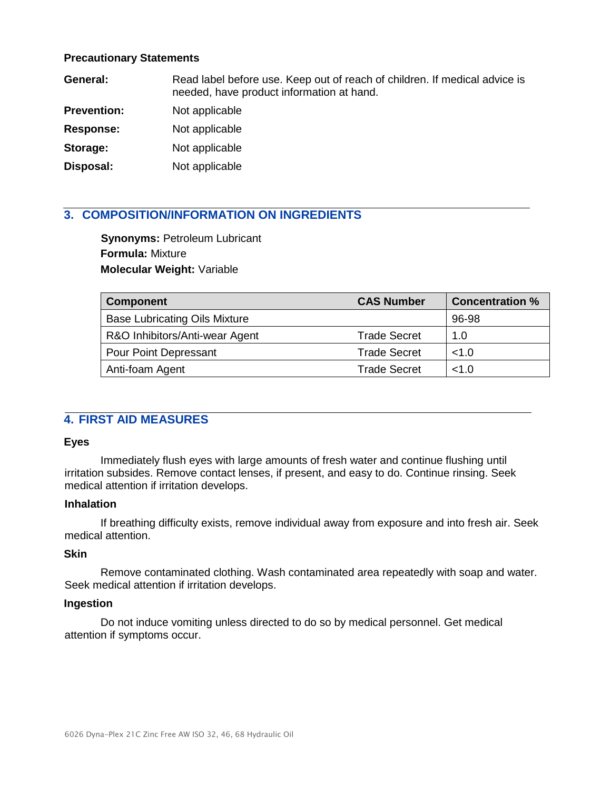#### **Precautionary Statements**

| General:           | Read label before use. Keep out of reach of children. If medical advice is<br>needed, have product information at hand. |
|--------------------|-------------------------------------------------------------------------------------------------------------------------|
| <b>Prevention:</b> | Not applicable                                                                                                          |
| <b>Response:</b>   | Not applicable                                                                                                          |
| Storage:           | Not applicable                                                                                                          |
| Disposal:          | Not applicable                                                                                                          |

# **3. COMPOSITION/INFORMATION ON INGREDIENTS**

**Synonyms:** Petroleum Lubricant **Formula:** Mixture **Molecular Weight:** Variable

| <b>Component</b>                     | <b>CAS Number</b>   | <b>Concentration %</b> |
|--------------------------------------|---------------------|------------------------|
| <b>Base Lubricating Oils Mixture</b> |                     | 96-98                  |
| R&O Inhibitors/Anti-wear Agent       | <b>Trade Secret</b> | 1.0                    |
| <b>Pour Point Depressant</b>         | <b>Trade Secret</b> | <1.0                   |
| Anti-foam Agent                      | <b>Trade Secret</b> | <1.0                   |

# **4. FIRST AID MEASURES**

## **Eyes**

Immediately flush eyes with large amounts of fresh water and continue flushing until irritation subsides. Remove contact lenses, if present, and easy to do. Continue rinsing. Seek medical attention if irritation develops.

## **Inhalation**

If breathing difficulty exists, remove individual away from exposure and into fresh air. Seek medical attention.

#### **Skin**

Remove contaminated clothing. Wash contaminated area repeatedly with soap and water. Seek medical attention if irritation develops.

#### **Ingestion**

Do not induce vomiting unless directed to do so by medical personnel. Get medical attention if symptoms occur.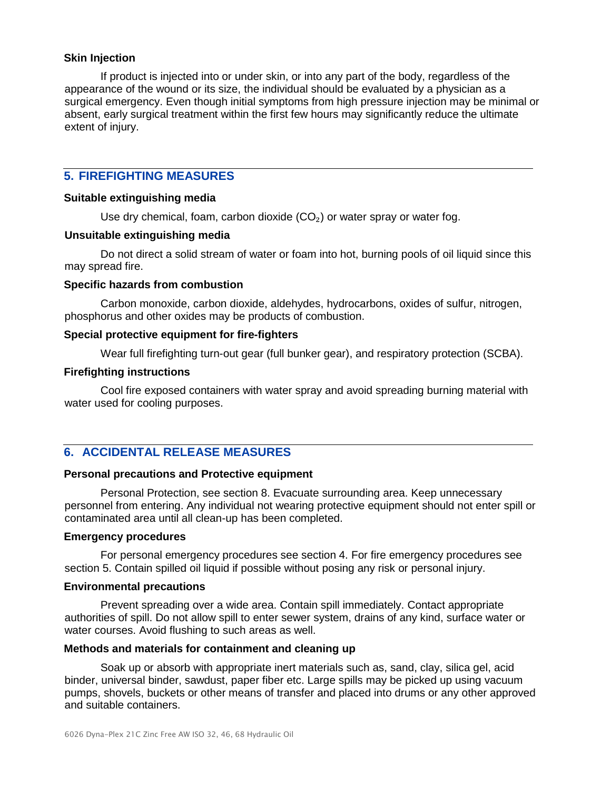#### **Skin Injection**

If product is injected into or under skin, or into any part of the body, regardless of the appearance of the wound or its size, the individual should be evaluated by a physician as a surgical emergency. Even though initial symptoms from high pressure injection may be minimal or absent, early surgical treatment within the first few hours may significantly reduce the ultimate extent of injury.

# **5. FIREFIGHTING MEASURES**

#### **Suitable extinguishing media**

Use dry chemical, foam, carbon dioxide  $(CO<sub>2</sub>)$  or water spray or water fog.

#### **Unsuitable extinguishing media**

Do not direct a solid stream of water or foam into hot, burning pools of oil liquid since this may spread fire.

#### **Specific hazards from combustion**

Carbon monoxide, carbon dioxide, aldehydes, hydrocarbons, oxides of sulfur, nitrogen, phosphorus and other oxides may be products of combustion.

#### **Special protective equipment for fire-fighters**

Wear full firefighting turn-out gear (full bunker gear), and respiratory protection (SCBA).

#### **Firefighting instructions**

Cool fire exposed containers with water spray and avoid spreading burning material with water used for cooling purposes.

# **6. ACCIDENTAL RELEASE MEASURES**

#### **Personal precautions and Protective equipment**

Personal Protection, see section 8. Evacuate surrounding area. Keep unnecessary personnel from entering. Any individual not wearing protective equipment should not enter spill or contaminated area until all clean-up has been completed.

#### **Emergency procedures**

For personal emergency procedures see section 4. For fire emergency procedures see section 5. Contain spilled oil liquid if possible without posing any risk or personal injury.

#### **Environmental precautions**

Prevent spreading over a wide area. Contain spill immediately. Contact appropriate authorities of spill. Do not allow spill to enter sewer system, drains of any kind, surface water or water courses. Avoid flushing to such areas as well.

#### **Methods and materials for containment and cleaning up**

Soak up or absorb with appropriate inert materials such as, sand, clay, silica gel, acid binder, universal binder, sawdust, paper fiber etc. Large spills may be picked up using vacuum pumps, shovels, buckets or other means of transfer and placed into drums or any other approved and suitable containers.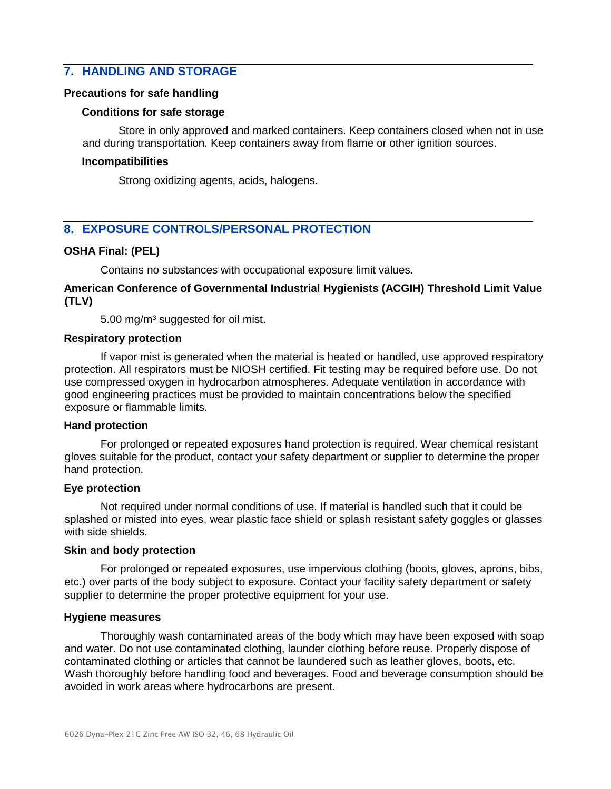# **7. HANDLING AND STORAGE**

#### **Precautions for safe handling**

#### **Conditions for safe storage**

Store in only approved and marked containers. Keep containers closed when not in use and during transportation. Keep containers away from flame or other ignition sources.

#### **Incompatibilities**

Strong oxidizing agents, acids, halogens.

# **8. EXPOSURE CONTROLS/PERSONAL PROTECTION**

#### **OSHA Final: (PEL)**

Contains no substances with occupational exposure limit values.

#### **American Conference of Governmental Industrial Hygienists (ACGIH) Threshold Limit Value (TLV)**

5.00 mg/m<sup>3</sup> suggested for oil mist.

#### **Respiratory protection**

If vapor mist is generated when the material is heated or handled, use approved respiratory protection. All respirators must be NIOSH certified. Fit testing may be required before use. Do not use compressed oxygen in hydrocarbon atmospheres. Adequate ventilation in accordance with good engineering practices must be provided to maintain concentrations below the specified exposure or flammable limits.

#### **Hand protection**

For prolonged or repeated exposures hand protection is required. Wear chemical resistant gloves suitable for the product, contact your safety department or supplier to determine the proper hand protection.

#### **Eye protection**

Not required under normal conditions of use. If material is handled such that it could be splashed or misted into eyes, wear plastic face shield or splash resistant safety goggles or glasses with side shields.

#### **Skin and body protection**

For prolonged or repeated exposures, use impervious clothing (boots, gloves, aprons, bibs, etc.) over parts of the body subject to exposure. Contact your facility safety department or safety supplier to determine the proper protective equipment for your use.

#### **Hygiene measures**

Thoroughly wash contaminated areas of the body which may have been exposed with soap and water. Do not use contaminated clothing, launder clothing before reuse. Properly dispose of contaminated clothing or articles that cannot be laundered such as leather gloves, boots, etc. Wash thoroughly before handling food and beverages. Food and beverage consumption should be avoided in work areas where hydrocarbons are present.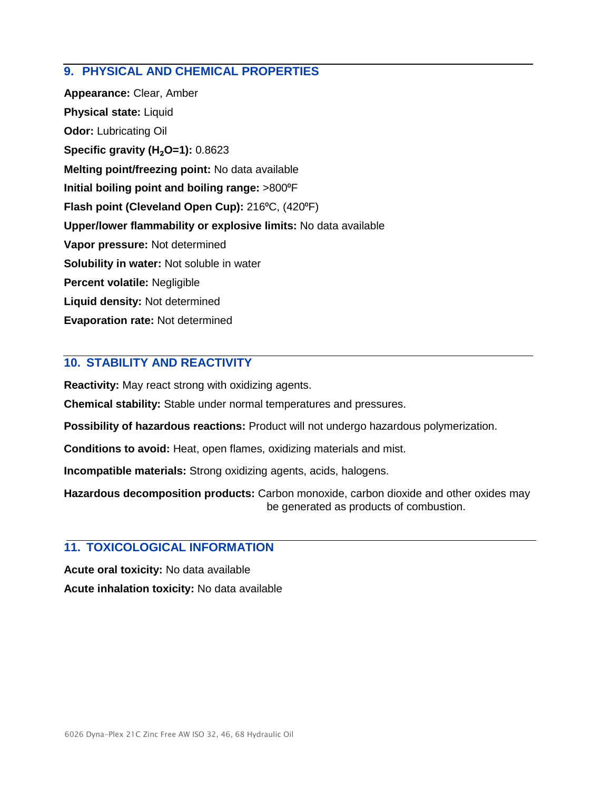# **9. PHYSICAL AND CHEMICAL PROPERTIES**

**Appearance:** Clear, Amber **Physical state:** Liquid **Odor:** Lubricating Oil **Specific gravity (H**₂**O=1):** 0.8623 **Melting point/freezing point:** No data available **Initial boiling point and boiling range:** >800⁰F **Flash point (Cleveland Open Cup):** 216<sup>°</sup>C, (420<sup>°</sup>F) **Upper/lower flammability or explosive limits:** No data available **Vapor pressure:** Not determined **Solubility in water:** Not soluble in water **Percent volatile:** Negligible **Liquid density:** Not determined **Evaporation rate:** Not determined

# **10. STABILITY AND REACTIVITY**

**Reactivity:** May react strong with oxidizing agents.

**Chemical stability:** Stable under normal temperatures and pressures.

**Possibility of hazardous reactions:** Product will not undergo hazardous polymerization.

**Conditions to avoid:** Heat, open flames, oxidizing materials and mist.

**Incompatible materials:** Strong oxidizing agents, acids, halogens.

**Hazardous decomposition products:** Carbon monoxide, carbon dioxide and other oxides may be generated as products of combustion.

# **11. TOXICOLOGICAL INFORMATION**

**Acute oral toxicity:** No data available **Acute inhalation toxicity:** No data available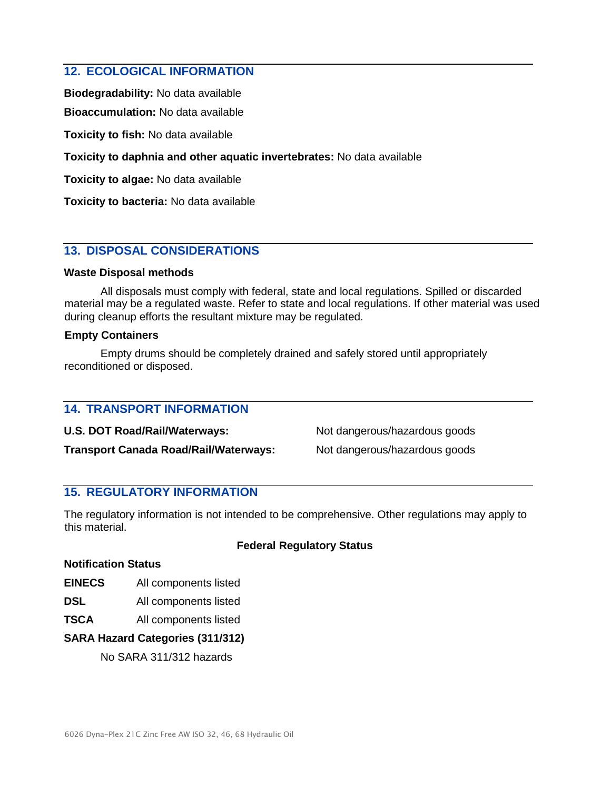## **12. ECOLOGICAL INFORMATION**

**Biodegradability:** No data available

**Bioaccumulation:** No data available

**Toxicity to fish:** No data available

**Toxicity to daphnia and other aquatic invertebrates:** No data available

**Toxicity to algae:** No data available

**Toxicity to bacteria:** No data available

# **13. DISPOSAL CONSIDERATIONS**

#### **Waste Disposal methods**

All disposals must comply with federal, state and local regulations. Spilled or discarded material may be a regulated waste. Refer to state and local regulations. If other material was used during cleanup efforts the resultant mixture may be regulated.

#### **Empty Containers**

Empty drums should be completely drained and safely stored until appropriately reconditioned or disposed.

# **14. TRANSPORT INFORMATION**

**U.S. DOT Road/Rail/Waterways:** Not dangerous/hazardous goods **Transport Canada Road/Rail/Waterways:** Not dangerous/hazardous goods

# **15. REGULATORY INFORMATION**

The regulatory information is not intended to be comprehensive. Other regulations may apply to this material.

## **Federal Regulatory Status**

#### **Notification Status**

**EINECS** All components listed

**DSL** All components listed

**TSCA** All components listed

#### **SARA Hazard Categories (311/312)**

No SARA 311/312 hazards